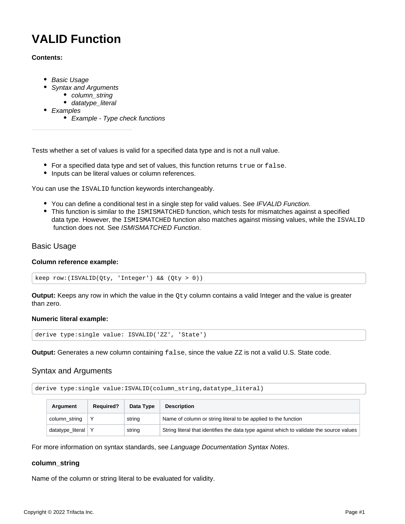# <span id="page-0-3"></span>**VALID Function**

### **Contents:**

- [Basic Usage](#page-0-0)
- [Syntax and Arguments](#page-0-1)
	- [column\\_string](#page-0-2)
	- datatype literal
- [Examples](#page-2-0)
	- [Example Type check functions](#page-2-1)

Tests whether a set of values is valid for a specified data type and is not a null value.

- $\bullet$  For a specified data type and set of values, this function returns  $true$  or  $false$ .
- Inputs can be literal values or column references.

You can use the ISVALID function keywords interchangeably.

- You can define a conditional test in a single step for valid values. See [IFVALID Function](https://docs.trifacta.com/display/r050/IFVALID+Function).
- This function is similar to the ISMISMATCHED function, which tests for mismatches against a specified data type. However, the ISMISMATCHED function also matches against missing values, while the ISVALID function does not. See [ISMISMATCHED Function](https://docs.trifacta.com/display/r050/ISMISMATCHED+Function).

## <span id="page-0-0"></span>Basic Usage

#### **Column reference example:**

keep row:(ISVALID(Qty, 'Integer') && (Qty > 0))

**Output:** Keeps any row in which the value in the Qty column contains a valid Integer and the value is greater than zero.

#### **Numeric literal example:**

derive type:single value: ISVALID('ZZ', 'State')

**Output:** Generates a new column containing false, since the value ZZ is not a valid U.S. State code.

## <span id="page-0-1"></span>Syntax and Arguments

derive type:single value:ISVALID(column\_string,datatype\_literal)

| Argument         | <b>Required?</b> | Data Type | <b>Description</b>                                                                       |
|------------------|------------------|-----------|------------------------------------------------------------------------------------------|
| column_string    |                  | string    | Name of column or string literal to be applied to the function                           |
| datatype_literal |                  | string    | String literal that identifies the data type against which to validate the source values |

For more information on syntax standards, see [Language Documentation Syntax Notes](https://docs.trifacta.com/display/r050/Language+Documentation+Syntax+Notes).

#### <span id="page-0-2"></span>**column\_string**

Name of the column or string literal to be evaluated for validity.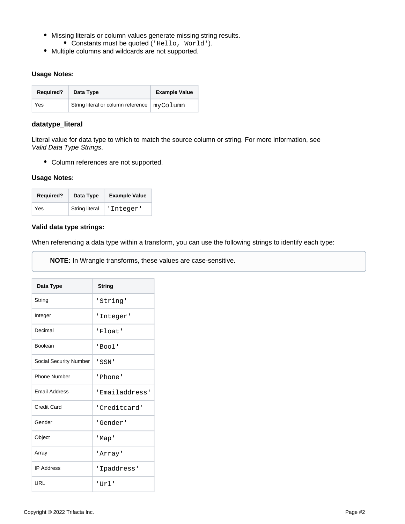- Missing literals or column values generate missing string results. Constants must be quoted ('Hello, World').
- Multiple columns and wildcards are not supported.

#### **Usage Notes:**

| <b>Required?</b> | Data Type                          | <b>Example Value</b> |  |
|------------------|------------------------------------|----------------------|--|
| Yes              | String literal or column reference | myColumn             |  |

### <span id="page-1-0"></span>**datatype\_literal**

Literal value for data type to which to match the source column or string. For more information, see [Valid Data Type Strings](https://docs.trifacta.com/display/r050/Valid+Data+Type+Strings).

Column references are not supported.

#### **Usage Notes:**

| <b>Required?</b> | Data Type             | <b>Example Value</b> |
|------------------|-----------------------|----------------------|
| Yes              | <b>String literal</b> | 'Integer'            |

#### **Valid data type strings:**

When referencing a data type within a transform, you can use the following strings to identify each type:

**NOTE:** In Wrangle transforms, these values are case-sensitive.

| Data Type                     | <b>String</b>  |
|-------------------------------|----------------|
| String                        | 'String'       |
| Integer                       | 'Integer'      |
| Decimal                       | 'Float'        |
| <b>Boolean</b>                | 'Bool'         |
| <b>Social Security Number</b> | ' SSN '        |
| <b>Phone Number</b>           | 'Phone'        |
| <b>Fmail Address</b>          | 'Emailaddress' |
| Credit Card                   | 'Creditcard'   |
| Gender                        | 'Gender'       |
| Object                        | 'Map'          |
| Array                         | 'Array'        |
| <b>IP Address</b>             | 'Ipaddress'    |
| URL                           | 'Url'          |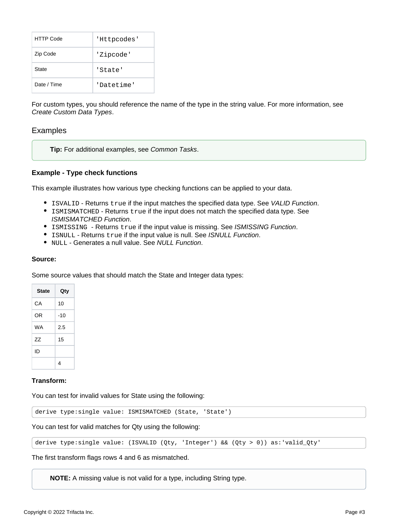| <b>HTTP Code</b> | 'Httpcodes' |
|------------------|-------------|
| Zip Code         | 'Zipcode'   |
| State            | 'State'     |
| Date / Time      | 'Datetime'  |

For custom types, you should reference the name of the type in the string value. For more information, see [Create Custom Data Types](https://docs.trifacta.com/display/r050/Create+Custom+Data+Types).

## <span id="page-2-0"></span>Examples

**Tip:** For additional examples, see [Common Tasks](https://docs.trifacta.com/display/r050/Common+Tasks).

#### <span id="page-2-1"></span>**Example - Type check functions**

This example illustrates how various type checking functions can be applied to your data.

- **ISVALID Returns true if the input matches the specified data type. See [VALID Function](#page-0-3).**
- ISMISMATCHED Returns true if the input does not match the specified data type. See [ISMISMATCHED Function](https://docs.trifacta.com/display/r050/ISMISMATCHED+Function).
- **ISMISSING Returns true if the input value is missing. See [ISMISSING Function](https://docs.trifacta.com/display/r050/ISMISSING+Function).**
- **ISNULL Returns true if the input value is null. See [ISNULL Function](https://docs.trifacta.com/display/r050/ISNULL+Function).**
- NULL Generates a null value. See [NULL Function](https://docs.trifacta.com/display/r050/NULL+Function).

#### **Source:**

Some source values that should match the State and Integer data types:

| <b>State</b> | Qty   |
|--------------|-------|
| СA           | 10    |
| 0R           | $-10$ |
| <b>WA</b>    | 2.5   |
| 77           | 15    |
| חו           |       |
|              | 4     |

#### **Transform:**

You can test for invalid values for State using the following:

derive type:single value: ISMISMATCHED (State, 'State')

You can test for valid matches for Qty using the following:

derive type:single value: (ISVALID (Qty, 'Integer') && (Qty > 0)) as:'valid\_Qty'

The first transform flags rows 4 and 6 as mismatched.

**NOTE:** A missing value is not valid for a type, including String type.